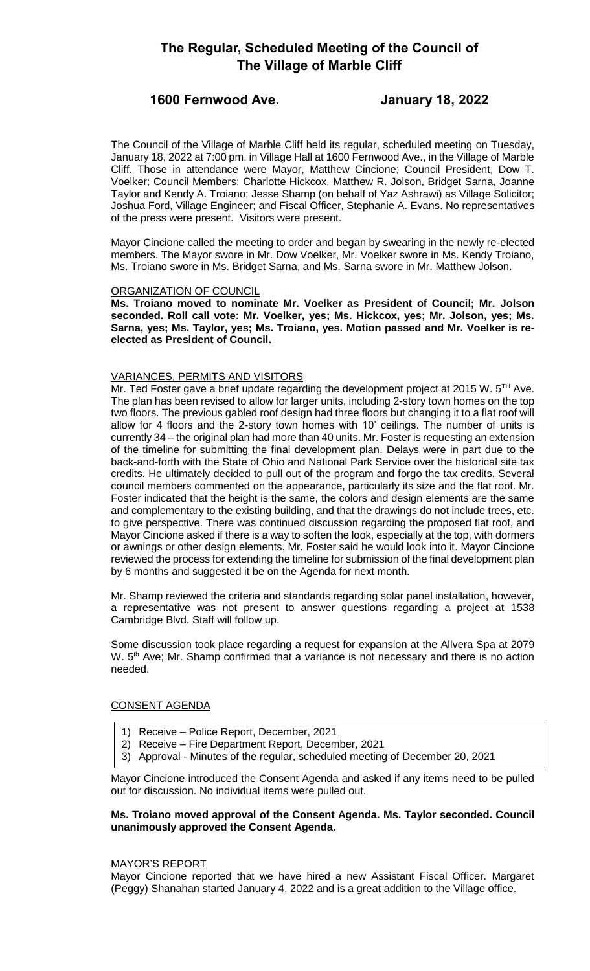# **The Regular, Scheduled Meeting of the Council of The Village of Marble Cliff**

# **1600 Fernwood Ave. January 18, 2022**

The Council of the Village of Marble Cliff held its regular, scheduled meeting on Tuesday, January 18, 2022 at 7:00 pm. in Village Hall at 1600 Fernwood Ave., in the Village of Marble Cliff. Those in attendance were Mayor, Matthew Cincione; Council President, Dow T. Voelker; Council Members: Charlotte Hickcox, Matthew R. Jolson, Bridget Sarna, Joanne Taylor and Kendy A. Troiano; Jesse Shamp (on behalf of Yaz Ashrawi) as Village Solicitor; Joshua Ford, Village Engineer; and Fiscal Officer, Stephanie A. Evans. No representatives of the press were present. Visitors were present.

Mayor Cincione called the meeting to order and began by swearing in the newly re-elected members. The Mayor swore in Mr. Dow Voelker, Mr. Voelker swore in Ms. Kendy Troiano, Ms. Troiano swore in Ms. Bridget Sarna, and Ms. Sarna swore in Mr. Matthew Jolson.

# ORGANIZATION OF COUNCIL

**Ms. Troiano moved to nominate Mr. Voelker as President of Council; Mr. Jolson seconded. Roll call vote: Mr. Voelker, yes; Ms. Hickcox, yes; Mr. Jolson, yes; Ms. Sarna, yes; Ms. Taylor, yes; Ms. Troiano, yes. Motion passed and Mr. Voelker is reelected as President of Council.** 

# VARIANCES, PERMITS AND VISITORS

Mr. Ted Foster gave a brief update regarding the development project at 2015 W.  $5^{TH}$  Ave. The plan has been revised to allow for larger units, including 2-story town homes on the top two floors. The previous gabled roof design had three floors but changing it to a flat roof will allow for 4 floors and the 2-story town homes with 10' ceilings. The number of units is currently 34 – the original plan had more than 40 units. Mr. Foster is requesting an extension of the timeline for submitting the final development plan. Delays were in part due to the back-and-forth with the State of Ohio and National Park Service over the historical site tax credits. He ultimately decided to pull out of the program and forgo the tax credits. Several council members commented on the appearance, particularly its size and the flat roof. Mr. Foster indicated that the height is the same, the colors and design elements are the same and complementary to the existing building, and that the drawings do not include trees, etc. to give perspective. There was continued discussion regarding the proposed flat roof, and Mayor Cincione asked if there is a way to soften the look, especially at the top, with dormers or awnings or other design elements. Mr. Foster said he would look into it. Mayor Cincione reviewed the process for extending the timeline for submission of the final development plan by 6 months and suggested it be on the Agenda for next month.

Mr. Shamp reviewed the criteria and standards regarding solar panel installation, however, a representative was not present to answer questions regarding a project at 1538 Cambridge Blvd. Staff will follow up.

Some discussion took place regarding a request for expansion at the Allvera Spa at 2079 W. 5<sup>th</sup> Ave; Mr. Shamp confirmed that a variance is not necessary and there is no action needed.

# CONSENT AGENDA

- 1) Receive Police Report, December, 2021
- 2) Receive Fire Department Report, December, 2021
- 3) Approval Minutes of the regular, scheduled meeting of December 20, 2021

Mayor Cincione introduced the Consent Agenda and asked if any items need to be pulled out for discussion. No individual items were pulled out.

# **Ms. Troiano moved approval of the Consent Agenda. Ms. Taylor seconded. Council unanimously approved the Consent Agenda.**

## MAYOR'S REPORT

Mayor Cincione reported that we have hired a new Assistant Fiscal Officer. Margaret (Peggy) Shanahan started January 4, 2022 and is a great addition to the Village office.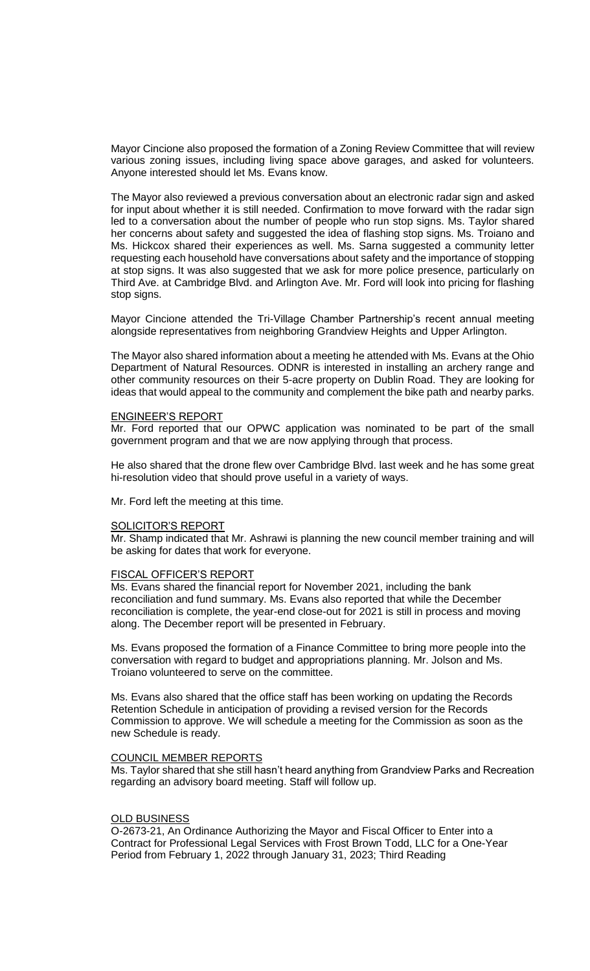Mayor Cincione also proposed the formation of a Zoning Review Committee that will review various zoning issues, including living space above garages, and asked for volunteers. Anyone interested should let Ms. Evans know.

The Mayor also reviewed a previous conversation about an electronic radar sign and asked for input about whether it is still needed. Confirmation to move forward with the radar sign led to a conversation about the number of people who run stop signs. Ms. Taylor shared her concerns about safety and suggested the idea of flashing stop signs. Ms. Troiano and Ms. Hickcox shared their experiences as well. Ms. Sarna suggested a community letter requesting each household have conversations about safety and the importance of stopping at stop signs. It was also suggested that we ask for more police presence, particularly on Third Ave. at Cambridge Blvd. and Arlington Ave. Mr. Ford will look into pricing for flashing stop signs.

Mayor Cincione attended the Tri-Village Chamber Partnership's recent annual meeting alongside representatives from neighboring Grandview Heights and Upper Arlington.

The Mayor also shared information about a meeting he attended with Ms. Evans at the Ohio Department of Natural Resources. ODNR is interested in installing an archery range and other community resources on their 5-acre property on Dublin Road. They are looking for ideas that would appeal to the community and complement the bike path and nearby parks.

# ENGINEER'S REPORT

Mr. Ford reported that our OPWC application was nominated to be part of the small government program and that we are now applying through that process.

He also shared that the drone flew over Cambridge Blvd. last week and he has some great hi-resolution video that should prove useful in a variety of ways.

Mr. Ford left the meeting at this time.

#### SOLICITOR'S REPORT

Mr. Shamp indicated that Mr. Ashrawi is planning the new council member training and will be asking for dates that work for everyone.

#### FISCAL OFFICER'S REPORT

Ms. Evans shared the financial report for November 2021, including the bank reconciliation and fund summary. Ms. Evans also reported that while the December reconciliation is complete, the year-end close-out for 2021 is still in process and moving along. The December report will be presented in February.

Ms. Evans proposed the formation of a Finance Committee to bring more people into the conversation with regard to budget and appropriations planning. Mr. Jolson and Ms. Troiano volunteered to serve on the committee.

Ms. Evans also shared that the office staff has been working on updating the Records Retention Schedule in anticipation of providing a revised version for the Records Commission to approve. We will schedule a meeting for the Commission as soon as the new Schedule is ready.

#### COUNCIL MEMBER REPORTS

Ms. Taylor shared that she still hasn't heard anything from Grandview Parks and Recreation regarding an advisory board meeting. Staff will follow up.

#### OLD BUSINESS

O-2673-21, An Ordinance Authorizing the Mayor and Fiscal Officer to Enter into a Contract for Professional Legal Services with Frost Brown Todd, LLC for a One-Year Period from February 1, 2022 through January 31, 2023; Third Reading